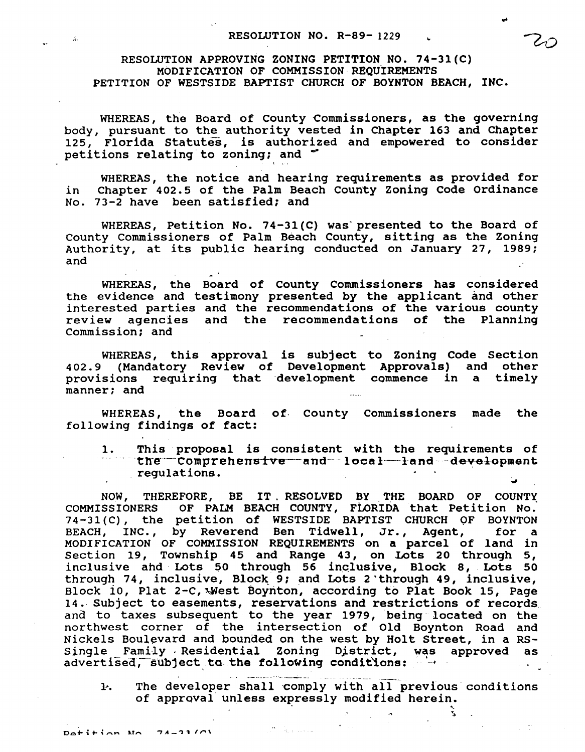RESOLUTION APPROVING ZONING PETITION NO. 74-31(C) MODIFICATION OF COMMISSION REQUIREMENTS PETITION OF WESTSIDE BAPTIST CHURCH OF BOYNTON BEACH, INC.

WHEREAS, the Board of County Commissioners, as the governing body, pursuant to the authority vested in Chapter 163 and Chapter 125, Florida Statutes, is authorized and empowered to consider petitions relating to zoning; and '

WHEREAS, the notice and hearing requirements as provided for in Chapter 402.5 of the Palm Beach county Zoning Code Ordinance No. 73-2 have been satisfied; and

WHEREAS, Petition No. 74-31(C) was' presented to the Board of county Commissioners of Palm Beach County, sitting as the Zoning Authority, at its public hearing conducted on January 27, 1989; and

WHEREAS, the Board of County Commissioners has considered the evidence and testimony presented by the applicant and other interested parties and the recommendations of the various county review agencies and the recommendations of the Planning commission; and

WHEREAS, this approval is subject to Zoning Code Section 402.9 (Mandatory Review of Development Approvals) and other provisions requiring that development commence in a timely manner; and

WHEREAS, the Board of County Commissioners made the following findings of fact:

1. This proposal is consistent with the requirements of ...... \_·tn-e··-·Compre-hens-rve--and--l·ocal·-l·a·nd-·-dev-el-opment regulations. .

NOW, THEREFORE, BE IT. RESOLVED BY THE BOARD OF COUNTY COMMISSIONERS OF PALM BEACH COUNTY, FLORIDA that Petition No. 74-31(C), the petition of WESTSIDE BAPTIST CHURCH OF BOYNTON<br>BEACH, INC., by Reverend Ben Tidwell, Jr., Agent, for a BEACH, INC., by Reverend Ben Tidwell, Jr., Agent, MODIFICATION OF COMMISSION REQUIREMENTS on a parcel of land in section 19, Township 45 and Range 43, on Lots 20 through 5, inclusive ahd Lots 50 through 56 inclusive, Block 8, Lots 50 through 74, inclusive, Block 9; and Lots 2 through 49, inclusive, Block 10, Plat 2-C, West Boynton, according to Plat Book 15, Page 14.· subject to easements, reservations and restrictions of records and to taxes subsequent to the year 1979, being located on the northwest corner of the intersection of Old Boynton Road and Nickels Boulevard and bounded on the west by Holt Street, in a RS-<br>Single Family Residential Zoning District, was approved as Single Family Residential Zoning District, was approved as advertised, subject to the following conditions:  $-$ 

The developer shall comply with all previous conditions ŀ. of approval unless expressly modified herein.

..